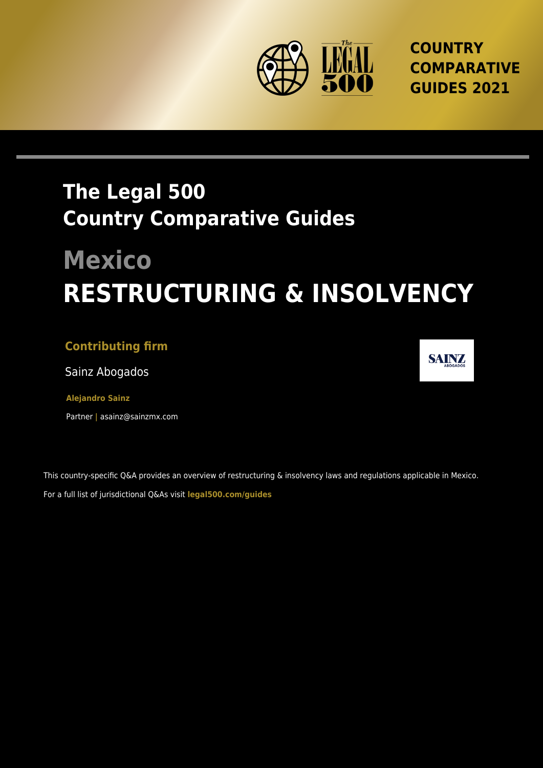

**COUNTRY COMPARATIVE GUIDES 2021**

## **The Legal 500 Country Comparative Guides**

# **Mexico RESTRUCTURING & INSOLVENCY**

### **Contributing firm**

Sainz Abogados

**Alejandro Sainz**

Partner **|** asainz@sainzmx.com

This country-specific Q&A provides an overview of restructuring & insolvency laws and regulations applicable in Mexico. For a full list of jurisdictional Q&As visit **[legal500.com/guides](https://www.legal500.com/guides/)**

**SAINZ**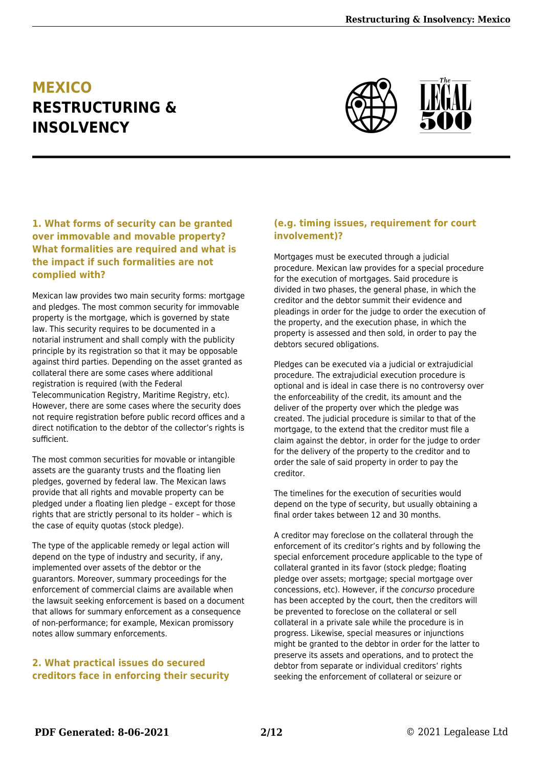## **MEXICO RESTRUCTURING & INSOLVENCY**



#### **1. What forms of security can be granted over immovable and movable property? What formalities are required and what is the impact if such formalities are not complied with?**

Mexican law provides two main security forms: mortgage and pledges. The most common security for immovable property is the mortgage, which is governed by state law. This security requires to be documented in a notarial instrument and shall comply with the publicity principle by its registration so that it may be opposable against third parties. Depending on the asset granted as collateral there are some cases where additional registration is required (with the Federal Telecommunication Registry, Maritime Registry, etc). However, there are some cases where the security does not require registration before public record offices and a direct notification to the debtor of the collector's rights is sufficient.

The most common securities for movable or intangible assets are the guaranty trusts and the floating lien pledges, governed by federal law. The Mexican laws provide that all rights and movable property can be pledged under a floating lien pledge – except for those rights that are strictly personal to its holder – which is the case of equity quotas (stock pledge).

The type of the applicable remedy or legal action will depend on the type of industry and security, if any, implemented over assets of the debtor or the guarantors. Moreover, summary proceedings for the enforcement of commercial claims are available when the lawsuit seeking enforcement is based on a document that allows for summary enforcement as a consequence of non-performance; for example, Mexican promissory notes allow summary enforcements.

#### **2. What practical issues do secured creditors face in enforcing their security**

#### **(e.g. timing issues, requirement for court involvement)?**

Mortgages must be executed through a judicial procedure. Mexican law provides for a special procedure for the execution of mortgages. Said procedure is divided in two phases, the general phase, in which the creditor and the debtor summit their evidence and pleadings in order for the judge to order the execution of the property, and the execution phase, in which the property is assessed and then sold, in order to pay the debtors secured obligations.

Pledges can be executed via a judicial or extrajudicial procedure. The extrajudicial execution procedure is optional and is ideal in case there is no controversy over the enforceability of the credit, its amount and the deliver of the property over which the pledge was created. The judicial procedure is similar to that of the mortgage, to the extend that the creditor must file a claim against the debtor, in order for the judge to order for the delivery of the property to the creditor and to order the sale of said property in order to pay the creditor.

The timelines for the execution of securities would depend on the type of security, but usually obtaining a final order takes between 12 and 30 months.

A creditor may foreclose on the collateral through the enforcement of its creditor's rights and by following the special enforcement procedure applicable to the type of collateral granted in its favor (stock pledge; floating pledge over assets; mortgage; special mortgage over concessions, etc). However, if the concurso procedure has been accepted by the court, then the creditors will be prevented to foreclose on the collateral or sell collateral in a private sale while the procedure is in progress. Likewise, special measures or injunctions might be granted to the debtor in order for the latter to preserve its assets and operations, and to protect the debtor from separate or individual creditors' rights seeking the enforcement of collateral or seizure or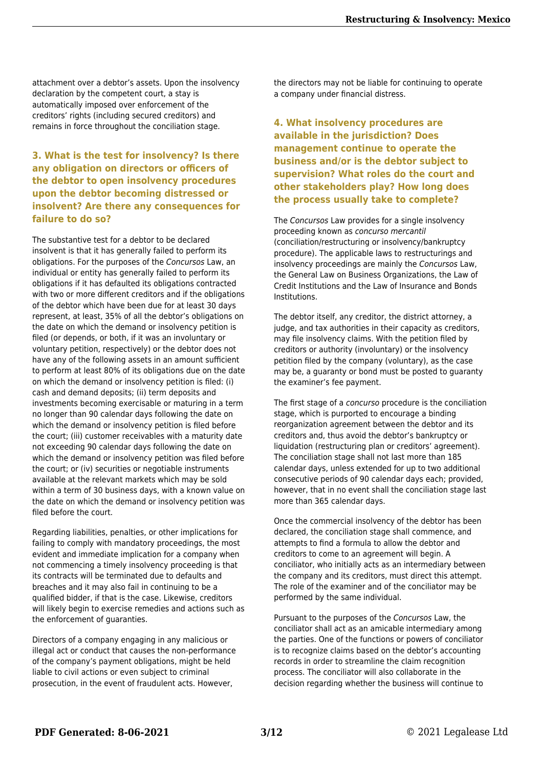attachment over a debtor's assets. Upon the insolvency declaration by the competent court, a stay is automatically imposed over enforcement of the creditors' rights (including secured creditors) and remains in force throughout the conciliation stage.

#### **3. What is the test for insolvency? Is there any obligation on directors or officers of the debtor to open insolvency procedures upon the debtor becoming distressed or insolvent? Are there any consequences for failure to do so?**

The substantive test for a debtor to be declared insolvent is that it has generally failed to perform its obligations. For the purposes of the Concursos Law, an individual or entity has generally failed to perform its obligations if it has defaulted its obligations contracted with two or more different creditors and if the obligations of the debtor which have been due for at least 30 days represent, at least, 35% of all the debtor's obligations on the date on which the demand or insolvency petition is filed (or depends, or both, if it was an involuntary or voluntary petition, respectively) or the debtor does not have any of the following assets in an amount sufficient to perform at least 80% of its obligations due on the date on which the demand or insolvency petition is filed: (i) cash and demand deposits; (ii) term deposits and investments becoming exercisable or maturing in a term no longer than 90 calendar days following the date on which the demand or insolvency petition is filed before the court; (iii) customer receivables with a maturity date not exceeding 90 calendar days following the date on which the demand or insolvency petition was filed before the court; or (iv) securities or negotiable instruments available at the relevant markets which may be sold within a term of 30 business days, with a known value on the date on which the demand or insolvency petition was filed before the court.

Regarding liabilities, penalties, or other implications for failing to comply with mandatory proceedings, the most evident and immediate implication for a company when not commencing a timely insolvency proceeding is that its contracts will be terminated due to defaults and breaches and it may also fail in continuing to be a qualified bidder, if that is the case. Likewise, creditors will likely begin to exercise remedies and actions such as the enforcement of guaranties.

Directors of a company engaging in any malicious or illegal act or conduct that causes the non-performance of the company's payment obligations, might be held liable to civil actions or even subject to criminal prosecution, in the event of fraudulent acts. However,

the directors may not be liable for continuing to operate a company under financial distress.

#### **4. What insolvency procedures are available in the jurisdiction? Does management continue to operate the business and/or is the debtor subject to supervision? What roles do the court and other stakeholders play? How long does the process usually take to complete?**

The Concursos Law provides for a single insolvency proceeding known as concurso mercantil (conciliation/restructuring or insolvency/bankruptcy procedure). The applicable laws to restructurings and insolvency proceedings are mainly the Concursos Law, the General Law on Business Organizations, the Law of Credit Institutions and the Law of Insurance and Bonds Institutions.

The debtor itself, any creditor, the district attorney, a judge, and tax authorities in their capacity as creditors, may file insolvency claims. With the petition filed by creditors or authority (involuntary) or the insolvency petition filed by the company (voluntary), as the case may be, a guaranty or bond must be posted to guaranty the examiner's fee payment.

The first stage of a concurso procedure is the conciliation stage, which is purported to encourage a binding reorganization agreement between the debtor and its creditors and, thus avoid the debtor's bankruptcy or liquidation (restructuring plan or creditors' agreement). The conciliation stage shall not last more than 185 calendar days, unless extended for up to two additional consecutive periods of 90 calendar days each; provided, however, that in no event shall the conciliation stage last more than 365 calendar days.

Once the commercial insolvency of the debtor has been declared, the conciliation stage shall commence, and attempts to find a formula to allow the debtor and creditors to come to an agreement will begin. A conciliator, who initially acts as an intermediary between the company and its creditors, must direct this attempt. The role of the examiner and of the conciliator may be performed by the same individual.

Pursuant to the purposes of the Concursos Law, the conciliator shall act as an amicable intermediary among the parties. One of the functions or powers of conciliator is to recognize claims based on the debtor's accounting records in order to streamline the claim recognition process. The conciliator will also collaborate in the decision regarding whether the business will continue to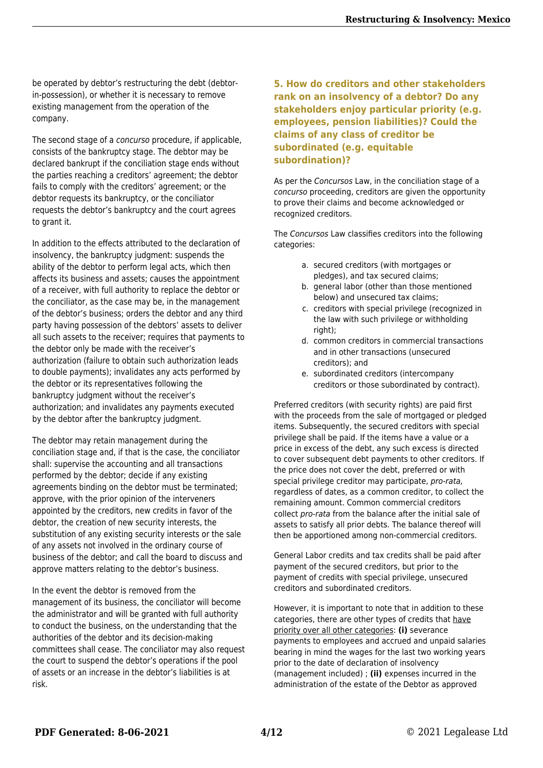be operated by debtor's restructuring the debt (debtorin-possession), or whether it is necessary to remove existing management from the operation of the company.

The second stage of a *concurso* procedure, if applicable, consists of the bankruptcy stage. The debtor may be declared bankrupt if the conciliation stage ends without the parties reaching a creditors' agreement; the debtor fails to comply with the creditors' agreement; or the debtor requests its bankruptcy, or the conciliator requests the debtor's bankruptcy and the court agrees to grant it.

In addition to the effects attributed to the declaration of insolvency, the bankruptcy judgment: suspends the ability of the debtor to perform legal acts, which then affects its business and assets; causes the appointment of a receiver, with full authority to replace the debtor or the conciliator, as the case may be, in the management of the debtor's business; orders the debtor and any third party having possession of the debtors' assets to deliver all such assets to the receiver; requires that payments to the debtor only be made with the receiver's authorization (failure to obtain such authorization leads to double payments); invalidates any acts performed by the debtor or its representatives following the bankruptcy judgment without the receiver's authorization; and invalidates any payments executed by the debtor after the bankruptcy judgment.

The debtor may retain management during the conciliation stage and, if that is the case, the conciliator shall: supervise the accounting and all transactions performed by the debtor; decide if any existing agreements binding on the debtor must be terminated; approve, with the prior opinion of the interveners appointed by the creditors, new credits in favor of the debtor, the creation of new security interests, the substitution of any existing security interests or the sale of any assets not involved in the ordinary course of business of the debtor; and call the board to discuss and approve matters relating to the debtor's business.

In the event the debtor is removed from the management of its business, the conciliator will become the administrator and will be granted with full authority to conduct the business, on the understanding that the authorities of the debtor and its decision-making committees shall cease. The conciliator may also request the court to suspend the debtor's operations if the pool of assets or an increase in the debtor's liabilities is at risk.

#### **5. How do creditors and other stakeholders rank on an insolvency of a debtor? Do any stakeholders enjoy particular priority (e.g. employees, pension liabilities)? Could the claims of any class of creditor be subordinated (e.g. equitable subordination)?**

As per the Concursos Law, in the conciliation stage of a concurso proceeding, creditors are given the opportunity to prove their claims and become acknowledged or recognized creditors.

The Concursos Law classifies creditors into the following categories:

- a. secured creditors (with mortgages or pledges), and tax secured claims;
- b. general labor (other than those mentioned below) and unsecured tax claims;
- c. creditors with special privilege (recognized in the law with such privilege or withholding right);
- d. common creditors in commercial transactions and in other transactions (unsecured creditors); and
- e. subordinated creditors (intercompany creditors or those subordinated by contract).

Preferred creditors (with security rights) are paid first with the proceeds from the sale of mortgaged or pledged items. Subsequently, the secured creditors with special privilege shall be paid. If the items have a value or a price in excess of the debt, any such excess is directed to cover subsequent debt payments to other creditors. If the price does not cover the debt, preferred or with special privilege creditor may participate, pro-rata, regardless of dates, as a common creditor, to collect the remaining amount. Common commercial creditors collect pro-rata from the balance after the initial sale of assets to satisfy all prior debts. The balance thereof will then be apportioned among non-commercial creditors.

General Labor credits and tax credits shall be paid after payment of the secured creditors, but prior to the payment of credits with special privilege, unsecured creditors and subordinated creditors.

However, it is important to note that in addition to these categories, there are other types of credits that have priority over all other categories: **(i)** severance payments to employees and accrued and unpaid salaries bearing in mind the wages for the last two working years prior to the date of declaration of insolvency (management included) ; **(ii)** expenses incurred in the administration of the estate of the Debtor as approved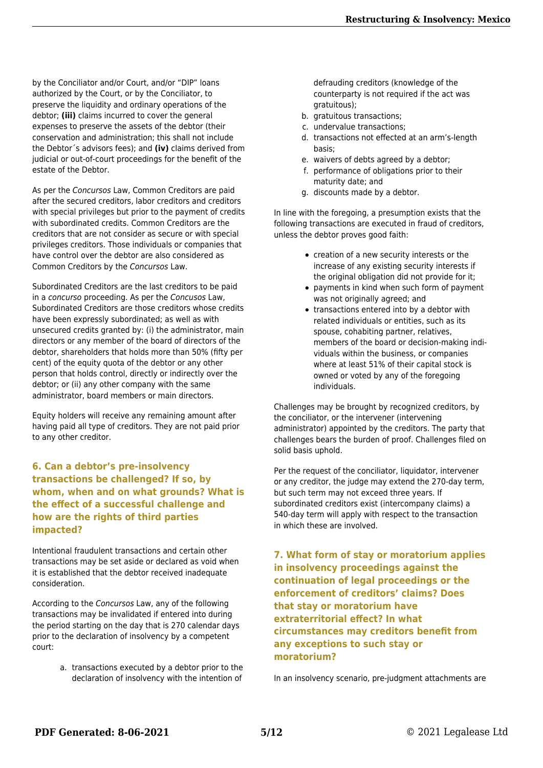by the Conciliator and/or Court, and/or "DIP" loans authorized by the Court, or by the Conciliator, to preserve the liquidity and ordinary operations of the debtor; **(iii)** claims incurred to cover the general expenses to preserve the assets of the debtor (their conservation and administration; this shall not include the Debtor´s advisors fees); and **(iv)** claims derived from judicial or out-of-court proceedings for the benefit of the estate of the Debtor.

As per the Concursos Law, Common Creditors are paid after the secured creditors, labor creditors and creditors with special privileges but prior to the payment of credits with subordinated credits. Common Creditors are the creditors that are not consider as secure or with special privileges creditors. Those individuals or companies that have control over the debtor are also considered as Common Creditors by the Concursos Law.

Subordinated Creditors are the last creditors to be paid in a concurso proceeding. As per the Concusos Law, Subordinated Creditors are those creditors whose credits have been expressly subordinated; as well as with unsecured credits granted by: (i) the administrator, main directors or any member of the board of directors of the debtor, shareholders that holds more than 50% (fifty per cent) of the equity quota of the debtor or any other person that holds control, directly or indirectly over the debtor; or (ii) any other company with the same administrator, board members or main directors.

Equity holders will receive any remaining amount after having paid all type of creditors. They are not paid prior to any other creditor.

**6. Can a debtor's pre-insolvency transactions be challenged? If so, by whom, when and on what grounds? What is the effect of a successful challenge and how are the rights of third parties impacted?**

Intentional fraudulent transactions and certain other transactions may be set aside or declared as void when it is established that the debtor received inadequate consideration.

According to the Concursos Law, any of the following transactions may be invalidated if entered into during the period starting on the day that is 270 calendar days prior to the declaration of insolvency by a competent court:

> a. transactions executed by a debtor prior to the declaration of insolvency with the intention of

defrauding creditors (knowledge of the counterparty is not required if the act was gratuitous);

- b. gratuitous transactions;
- c. undervalue transactions;
- d. transactions not effected at an arm's-length basis;
- e. waivers of debts agreed by a debtor;
- f. performance of obligations prior to their maturity date; and
- g. discounts made by a debtor.

In line with the foregoing, a presumption exists that the following transactions are executed in fraud of creditors, unless the debtor proves good faith:

- creation of a new security interests or the increase of any existing security interests if the original obligation did not provide for it;
- payments in kind when such form of payment was not originally agreed; and
- transactions entered into by a debtor with related individuals or entities, such as its spouse, cohabiting partner, relatives, members of the board or decision-making individuals within the business, or companies where at least 51% of their capital stock is owned or voted by any of the foregoing individuals.

Challenges may be brought by recognized creditors, by the conciliator, or the intervener (intervening administrator) appointed by the creditors. The party that challenges bears the burden of proof. Challenges filed on solid basis uphold.

Per the request of the conciliator, liquidator, intervener or any creditor, the judge may extend the 270-day term, but such term may not exceed three years. If subordinated creditors exist (intercompany claims) a 540-day term will apply with respect to the transaction in which these are involved.

**7. What form of stay or moratorium applies in insolvency proceedings against the continuation of legal proceedings or the enforcement of creditors' claims? Does that stay or moratorium have extraterritorial effect? In what circumstances may creditors benefit from any exceptions to such stay or moratorium?**

In an insolvency scenario, pre-judgment attachments are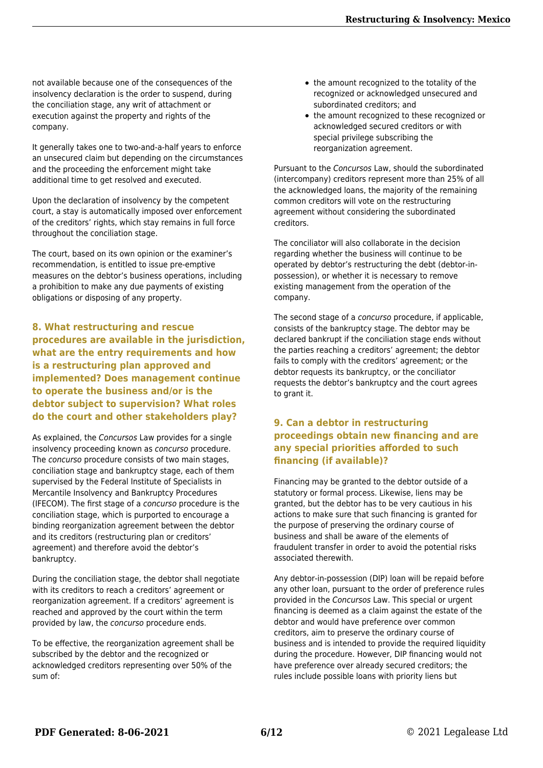not available because one of the consequences of the insolvency declaration is the order to suspend, during the conciliation stage, any writ of attachment or execution against the property and rights of the company.

It generally takes one to two-and-a-half years to enforce an unsecured claim but depending on the circumstances and the proceeding the enforcement might take additional time to get resolved and executed.

Upon the declaration of insolvency by the competent court, a stay is automatically imposed over enforcement of the creditors' rights, which stay remains in full force throughout the conciliation stage.

The court, based on its own opinion or the examiner's recommendation, is entitled to issue pre-emptive measures on the debtor's business operations, including a prohibition to make any due payments of existing obligations or disposing of any property.

**8. What restructuring and rescue procedures are available in the jurisdiction, what are the entry requirements and how is a restructuring plan approved and implemented? Does management continue to operate the business and/or is the debtor subject to supervision? What roles do the court and other stakeholders play?**

As explained, the Concursos Law provides for a single insolvency proceeding known as concurso procedure. The concurso procedure consists of two main stages, conciliation stage and bankruptcy stage, each of them supervised by the Federal Institute of Specialists in Mercantile Insolvency and Bankruptcy Procedures (IFECOM). The first stage of a concurso procedure is the conciliation stage, which is purported to encourage a binding reorganization agreement between the debtor and its creditors (restructuring plan or creditors' agreement) and therefore avoid the debtor's bankruptcy.

During the conciliation stage, the debtor shall negotiate with its creditors to reach a creditors' agreement or reorganization agreement. If a creditors' agreement is reached and approved by the court within the term provided by law, the concurso procedure ends.

To be effective, the reorganization agreement shall be subscribed by the debtor and the recognized or acknowledged creditors representing over 50% of the sum of:

- the amount recognized to the totality of the recognized or acknowledged unsecured and subordinated creditors; and
- the amount recognized to these recognized or acknowledged secured creditors or with special privilege subscribing the reorganization agreement.

Pursuant to the Concursos Law, should the subordinated (intercompany) creditors represent more than 25% of all the acknowledged loans, the majority of the remaining common creditors will vote on the restructuring agreement without considering the subordinated creditors.

The conciliator will also collaborate in the decision regarding whether the business will continue to be operated by debtor's restructuring the debt (debtor-inpossession), or whether it is necessary to remove existing management from the operation of the company.

The second stage of a concurso procedure, if applicable, consists of the bankruptcy stage. The debtor may be declared bankrupt if the conciliation stage ends without the parties reaching a creditors' agreement; the debtor fails to comply with the creditors' agreement; or the debtor requests its bankruptcy, or the conciliator requests the debtor's bankruptcy and the court agrees to grant it.

#### **9. Can a debtor in restructuring proceedings obtain new financing and are any special priorities afforded to such financing (if available)?**

Financing may be granted to the debtor outside of a statutory or formal process. Likewise, liens may be granted, but the debtor has to be very cautious in his actions to make sure that such financing is granted for the purpose of preserving the ordinary course of business and shall be aware of the elements of fraudulent transfer in order to avoid the potential risks associated therewith.

Any debtor-in-possession (DIP) loan will be repaid before any other loan, pursuant to the order of preference rules provided in the Concursos Law. This special or urgent financing is deemed as a claim against the estate of the debtor and would have preference over common creditors, aim to preserve the ordinary course of business and is intended to provide the required liquidity during the procedure. However, DIP financing would not have preference over already secured creditors; the rules include possible loans with priority liens but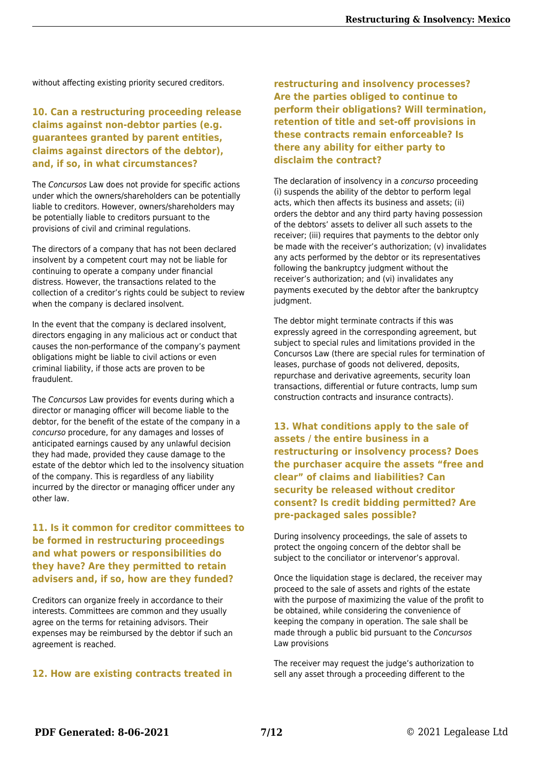without affecting existing priority secured creditors.

#### **10. Can a restructuring proceeding release claims against non-debtor parties (e.g. guarantees granted by parent entities, claims against directors of the debtor), and, if so, in what circumstances?**

The Concursos Law does not provide for specific actions under which the owners/shareholders can be potentially liable to creditors. However, owners/shareholders may be potentially liable to creditors pursuant to the provisions of civil and criminal regulations.

The directors of a company that has not been declared insolvent by a competent court may not be liable for continuing to operate a company under financial distress. However, the transactions related to the collection of a creditor's rights could be subject to review when the company is declared insolvent.

In the event that the company is declared insolvent, directors engaging in any malicious act or conduct that causes the non-performance of the company's payment obligations might be liable to civil actions or even criminal liability, if those acts are proven to be fraudulent.

The Concursos Law provides for events during which a director or managing officer will become liable to the debtor, for the benefit of the estate of the company in a concurso procedure, for any damages and losses of anticipated earnings caused by any unlawful decision they had made, provided they cause damage to the estate of the debtor which led to the insolvency situation of the company. This is regardless of any liability incurred by the director or managing officer under any other law.

#### **11. Is it common for creditor committees to be formed in restructuring proceedings and what powers or responsibilities do they have? Are they permitted to retain advisers and, if so, how are they funded?**

Creditors can organize freely in accordance to their interests. Committees are common and they usually agree on the terms for retaining advisors. Their expenses may be reimbursed by the debtor if such an agreement is reached.

#### **12. How are existing contracts treated in**

**restructuring and insolvency processes? Are the parties obliged to continue to perform their obligations? Will termination, retention of title and set-off provisions in these contracts remain enforceable? Is there any ability for either party to disclaim the contract?**

The declaration of insolvency in a concurso proceeding (i) suspends the ability of the debtor to perform legal acts, which then affects its business and assets; (ii) orders the debtor and any third party having possession of the debtors' assets to deliver all such assets to the receiver; (iii) requires that payments to the debtor only be made with the receiver's authorization; (v) invalidates any acts performed by the debtor or its representatives following the bankruptcy judgment without the receiver's authorization; and (vi) invalidates any payments executed by the debtor after the bankruptcy judament.

The debtor might terminate contracts if this was expressly agreed in the corresponding agreement, but subject to special rules and limitations provided in the Concursos Law (there are special rules for termination of leases, purchase of goods not delivered, deposits, repurchase and derivative agreements, security loan transactions, differential or future contracts, lump sum construction contracts and insurance contracts).

**13. What conditions apply to the sale of assets / the entire business in a restructuring or insolvency process? Does the purchaser acquire the assets "free and clear" of claims and liabilities? Can security be released without creditor consent? Is credit bidding permitted? Are pre-packaged sales possible?**

During insolvency proceedings, the sale of assets to protect the ongoing concern of the debtor shall be subject to the conciliator or intervenor's approval.

Once the liquidation stage is declared, the receiver may proceed to the sale of assets and rights of the estate with the purpose of maximizing the value of the profit to be obtained, while considering the convenience of keeping the company in operation. The sale shall be made through a public bid pursuant to the Concursos Law provisions

The receiver may request the judge's authorization to sell any asset through a proceeding different to the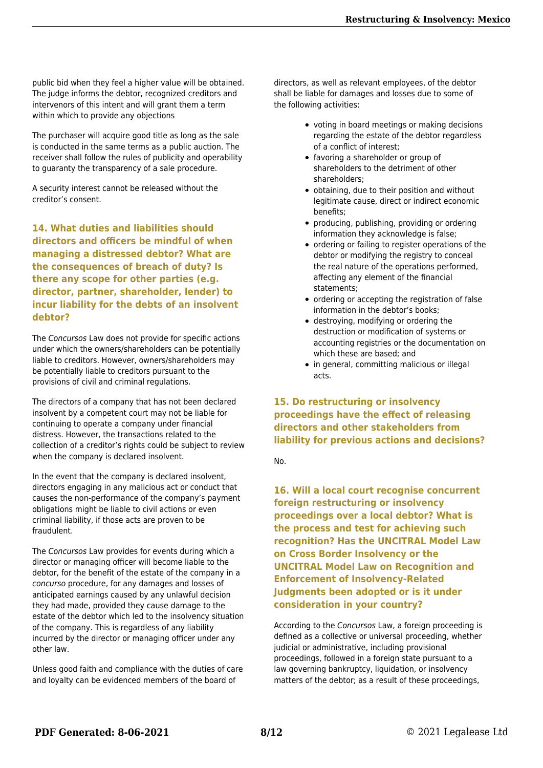public bid when they feel a higher value will be obtained. The judge informs the debtor, recognized creditors and intervenors of this intent and will grant them a term within which to provide any objections

The purchaser will acquire good title as long as the sale is conducted in the same terms as a public auction. The receiver shall follow the rules of publicity and operability to guaranty the transparency of a sale procedure.

A security interest cannot be released without the creditor's consent.

**14. What duties and liabilities should directors and officers be mindful of when managing a distressed debtor? What are the consequences of breach of duty? Is there any scope for other parties (e.g. director, partner, shareholder, lender) to incur liability for the debts of an insolvent debtor?**

The Concursos Law does not provide for specific actions under which the owners/shareholders can be potentially liable to creditors. However, owners/shareholders may be potentially liable to creditors pursuant to the provisions of civil and criminal regulations.

The directors of a company that has not been declared insolvent by a competent court may not be liable for continuing to operate a company under financial distress. However, the transactions related to the collection of a creditor's rights could be subject to review when the company is declared insolvent.

In the event that the company is declared insolvent, directors engaging in any malicious act or conduct that causes the non-performance of the company's payment obligations might be liable to civil actions or even criminal liability, if those acts are proven to be fraudulent.

The Concursos Law provides for events during which a director or managing officer will become liable to the debtor, for the benefit of the estate of the company in a concurso procedure, for any damages and losses of anticipated earnings caused by any unlawful decision they had made, provided they cause damage to the estate of the debtor which led to the insolvency situation of the company. This is regardless of any liability incurred by the director or managing officer under any other law.

Unless good faith and compliance with the duties of care and loyalty can be evidenced members of the board of

directors, as well as relevant employees, of the debtor shall be liable for damages and losses due to some of the following activities:

- voting in board meetings or making decisions regarding the estate of the debtor regardless of a conflict of interest;
- favoring a shareholder or group of shareholders to the detriment of other shareholders;
- obtaining, due to their position and without legitimate cause, direct or indirect economic benefits;
- producing, publishing, providing or ordering information they acknowledge is false;
- ordering or failing to register operations of the debtor or modifying the registry to conceal the real nature of the operations performed, affecting any element of the financial statements;
- ordering or accepting the registration of false information in the debtor's books;
- destroying, modifying or ordering the destruction or modification of systems or accounting registries or the documentation on which these are based; and
- in general, committing malicious or illegal acts.

**15. Do restructuring or insolvency proceedings have the effect of releasing directors and other stakeholders from liability for previous actions and decisions?**

No.

**16. Will a local court recognise concurrent foreign restructuring or insolvency proceedings over a local debtor? What is the process and test for achieving such recognition? Has the UNCITRAL Model Law on Cross Border Insolvency or the UNCITRAL Model Law on Recognition and Enforcement of Insolvency-Related Judgments been adopted or is it under consideration in your country?**

According to the Concursos Law, a foreign proceeding is defined as a collective or universal proceeding, whether judicial or administrative, including provisional proceedings, followed in a foreign state pursuant to a law governing bankruptcy, liquidation, or insolvency matters of the debtor; as a result of these proceedings,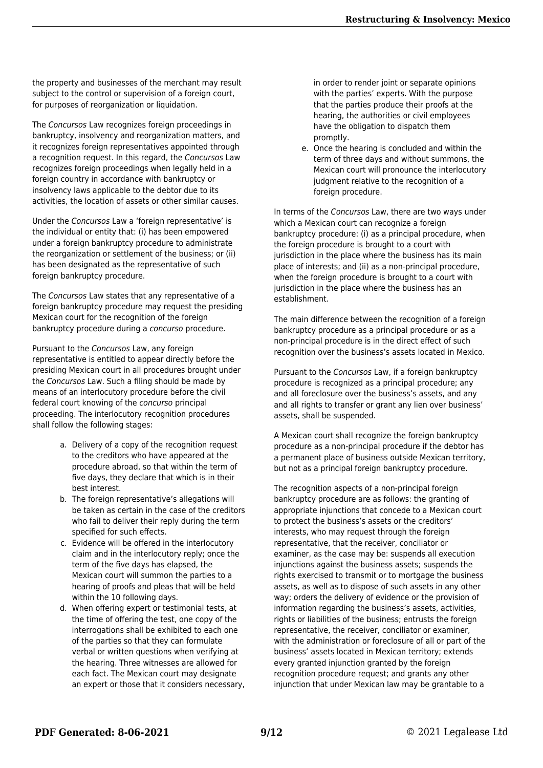the property and businesses of the merchant may result subject to the control or supervision of a foreign court, for purposes of reorganization or liquidation.

The Concursos Law recognizes foreign proceedings in bankruptcy, insolvency and reorganization matters, and it recognizes foreign representatives appointed through a recognition request. In this regard, the Concursos Law recognizes foreign proceedings when legally held in a foreign country in accordance with bankruptcy or insolvency laws applicable to the debtor due to its activities, the location of assets or other similar causes.

Under the Concursos Law a 'foreign representative' is the individual or entity that: (i) has been empowered under a foreign bankruptcy procedure to administrate the reorganization or settlement of the business; or (ii) has been designated as the representative of such foreign bankruptcy procedure.

The Concursos Law states that any representative of a foreign bankruptcy procedure may request the presiding Mexican court for the recognition of the foreign bankruptcy procedure during a concurso procedure.

Pursuant to the Concursos Law, any foreign representative is entitled to appear directly before the presiding Mexican court in all procedures brought under the Concursos Law. Such a filing should be made by means of an interlocutory procedure before the civil federal court knowing of the concurso principal proceeding. The interlocutory recognition procedures shall follow the following stages:

- a. Delivery of a copy of the recognition request to the creditors who have appeared at the procedure abroad, so that within the term of five days, they declare that which is in their best interest.
- b. The foreign representative's allegations will be taken as certain in the case of the creditors who fail to deliver their reply during the term specified for such effects.
- c. Evidence will be offered in the interlocutory claim and in the interlocutory reply; once the term of the five days has elapsed, the Mexican court will summon the parties to a hearing of proofs and pleas that will be held within the 10 following days.
- d. When offering expert or testimonial tests, at the time of offering the test, one copy of the interrogations shall be exhibited to each one of the parties so that they can formulate verbal or written questions when verifying at the hearing. Three witnesses are allowed for each fact. The Mexican court may designate an expert or those that it considers necessary,

in order to render joint or separate opinions with the parties' experts. With the purpose that the parties produce their proofs at the hearing, the authorities or civil employees have the obligation to dispatch them promptly.

e. Once the hearing is concluded and within the term of three days and without summons, the Mexican court will pronounce the interlocutory judgment relative to the recognition of a foreign procedure.

In terms of the Concursos Law, there are two ways under which a Mexican court can recognize a foreign bankruptcy procedure: (i) as a principal procedure, when the foreign procedure is brought to a court with jurisdiction in the place where the business has its main place of interests; and (ii) as a non-principal procedure, when the foreign procedure is brought to a court with jurisdiction in the place where the business has an establishment.

The main difference between the recognition of a foreign bankruptcy procedure as a principal procedure or as a non-principal procedure is in the direct effect of such recognition over the business's assets located in Mexico.

Pursuant to the Concursos Law, if a foreign bankruptcy procedure is recognized as a principal procedure; any and all foreclosure over the business's assets, and any and all rights to transfer or grant any lien over business' assets, shall be suspended.

A Mexican court shall recognize the foreign bankruptcy procedure as a non-principal procedure if the debtor has a permanent place of business outside Mexican territory, but not as a principal foreign bankruptcy procedure.

The recognition aspects of a non-principal foreign bankruptcy procedure are as follows: the granting of appropriate injunctions that concede to a Mexican court to protect the business's assets or the creditors' interests, who may request through the foreign representative, that the receiver, conciliator or examiner, as the case may be: suspends all execution injunctions against the business assets; suspends the rights exercised to transmit or to mortgage the business assets, as well as to dispose of such assets in any other way; orders the delivery of evidence or the provision of information regarding the business's assets, activities, rights or liabilities of the business; entrusts the foreign representative, the receiver, conciliator or examiner, with the administration or foreclosure of all or part of the business' assets located in Mexican territory; extends every granted injunction granted by the foreign recognition procedure request; and grants any other injunction that under Mexican law may be grantable to a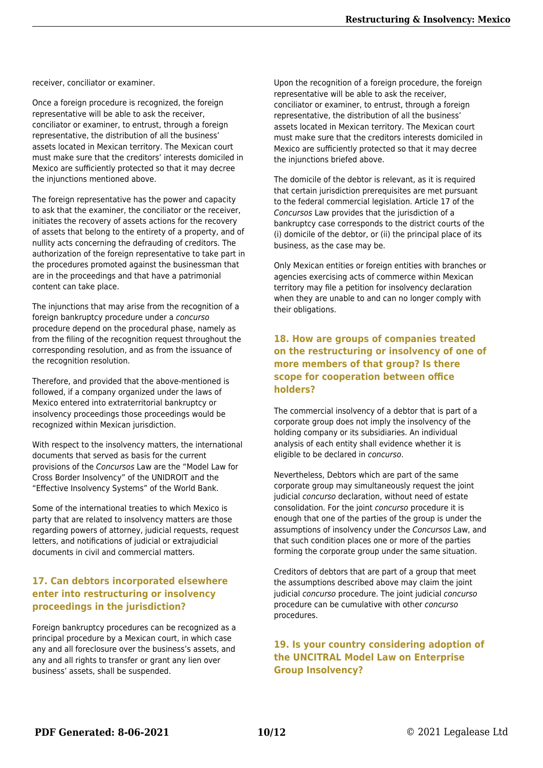receiver, conciliator or examiner.

Once a foreign procedure is recognized, the foreign representative will be able to ask the receiver, conciliator or examiner, to entrust, through a foreign representative, the distribution of all the business' assets located in Mexican territory. The Mexican court must make sure that the creditors' interests domiciled in Mexico are sufficiently protected so that it may decree the injunctions mentioned above.

The foreign representative has the power and capacity to ask that the examiner, the conciliator or the receiver, initiates the recovery of assets actions for the recovery of assets that belong to the entirety of a property, and of nullity acts concerning the defrauding of creditors. The authorization of the foreign representative to take part in the procedures promoted against the businessman that are in the proceedings and that have a patrimonial content can take place.

The injunctions that may arise from the recognition of a foreign bankruptcy procedure under a concurso procedure depend on the procedural phase, namely as from the filing of the recognition request throughout the corresponding resolution, and as from the issuance of the recognition resolution.

Therefore, and provided that the above-mentioned is followed, if a company organized under the laws of Mexico entered into extraterritorial bankruptcy or insolvency proceedings those proceedings would be recognized within Mexican jurisdiction.

With respect to the insolvency matters, the international documents that served as basis for the current provisions of the Concursos Law are the "Model Law for Cross Border Insolvency" of the UNIDROIT and the "Effective Insolvency Systems" of the World Bank.

Some of the international treaties to which Mexico is party that are related to insolvency matters are those regarding powers of attorney, judicial requests, request letters, and notifications of judicial or extrajudicial documents in civil and commercial matters.

#### **17. Can debtors incorporated elsewhere enter into restructuring or insolvency proceedings in the jurisdiction?**

Foreign bankruptcy procedures can be recognized as a principal procedure by a Mexican court, in which case any and all foreclosure over the business's assets, and any and all rights to transfer or grant any lien over business' assets, shall be suspended.

Upon the recognition of a foreign procedure, the foreign representative will be able to ask the receiver, conciliator or examiner, to entrust, through a foreign representative, the distribution of all the business' assets located in Mexican territory. The Mexican court must make sure that the creditors interests domiciled in Mexico are sufficiently protected so that it may decree the injunctions briefed above.

The domicile of the debtor is relevant, as it is required that certain jurisdiction prerequisites are met pursuant to the federal commercial legislation. Article 17 of the Concursos Law provides that the jurisdiction of a bankruptcy case corresponds to the district courts of the (i) domicile of the debtor, or (ii) the principal place of its business, as the case may be.

Only Mexican entities or foreign entities with branches or agencies exercising acts of commerce within Mexican territory may file a petition for insolvency declaration when they are unable to and can no longer comply with their obligations.

#### **18. How are groups of companies treated on the restructuring or insolvency of one of more members of that group? Is there scope for cooperation between office holders?**

The commercial insolvency of a debtor that is part of a corporate group does not imply the insolvency of the holding company or its subsidiaries. An individual analysis of each entity shall evidence whether it is eligible to be declared in concurso.

Nevertheless, Debtors which are part of the same corporate group may simultaneously request the joint judicial concurso declaration, without need of estate consolidation. For the joint concurso procedure it is enough that one of the parties of the group is under the assumptions of insolvency under the Concursos Law, and that such condition places one or more of the parties forming the corporate group under the same situation.

Creditors of debtors that are part of a group that meet the assumptions described above may claim the joint judicial concurso procedure. The joint judicial concurso procedure can be cumulative with other concurso procedures.

**19. Is your country considering adoption of the UNCITRAL Model Law on Enterprise Group Insolvency?**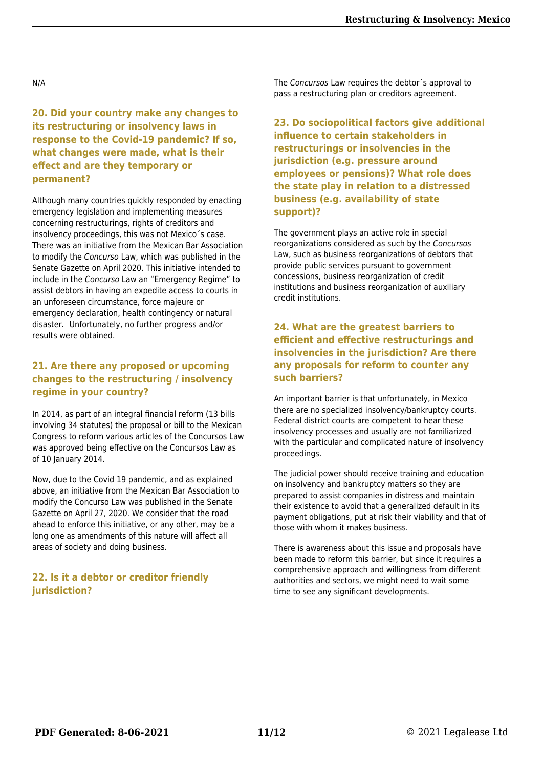N/A

**20. Did your country make any changes to its restructuring or insolvency laws in response to the Covid-19 pandemic? If so, what changes were made, what is their effect and are they temporary or permanent?**

Although many countries quickly responded by enacting emergency legislation and implementing measures concerning restructurings, rights of creditors and insolvency proceedings, this was not Mexico´s case. There was an initiative from the Mexican Bar Association to modify the Concurso Law, which was published in the Senate Gazette on April 2020. This initiative intended to include in the Concurso Law an "Emergency Regime" to assist debtors in having an expedite access to courts in an unforeseen circumstance, force majeure or emergency declaration, health contingency or natural disaster.   Unfortunately, no further progress and/or results were obtained.

#### **21. Are there any proposed or upcoming changes to the restructuring / insolvency regime in your country?**

In 2014, as part of an integral financial reform (13 bills involving 34 statutes) the proposal or bill to the Mexican Congress to reform various articles of the Concursos Law was approved being effective on the Concursos Law as of 10 January 2014.

Now, due to the Covid 19 pandemic, and as explained above, an initiative from the Mexican Bar Association to modify the Concurso Law was published in the Senate Gazette on April 27, 2020. We consider that the road ahead to enforce this initiative, or any other, may be a long one as amendments of this nature will affect all areas of society and doing business.

#### **22. Is it a debtor or creditor friendly jurisdiction?**

The Concursos Law requires the debtor´s approval to pass a restructuring plan or creditors agreement.

**23. Do sociopolitical factors give additional influence to certain stakeholders in restructurings or insolvencies in the jurisdiction (e.g. pressure around employees or pensions)? What role does the state play in relation to a distressed business (e.g. availability of state support)?**

The government plays an active role in special reorganizations considered as such by the Concursos Law, such as business reorganizations of debtors that provide public services pursuant to government concessions, business reorganization of credit institutions and business reorganization of auxiliary credit institutions.

#### **24. What are the greatest barriers to efficient and effective restructurings and insolvencies in the jurisdiction? Are there any proposals for reform to counter any such barriers?**

An important barrier is that unfortunately, in Mexico there are no specialized insolvency/bankruptcy courts. Federal district courts are competent to hear these insolvency processes and usually are not familiarized with the particular and complicated nature of insolvency proceedings.

The judicial power should receive training and education on insolvency and bankruptcy matters so they are prepared to assist companies in distress and maintain their existence to avoid that a generalized default in its payment obligations, put at risk their viability and that of those with whom it makes business.

There is awareness about this issue and proposals have been made to reform this barrier, but since it requires a comprehensive approach and willingness from different authorities and sectors, we might need to wait some time to see any significant developments.